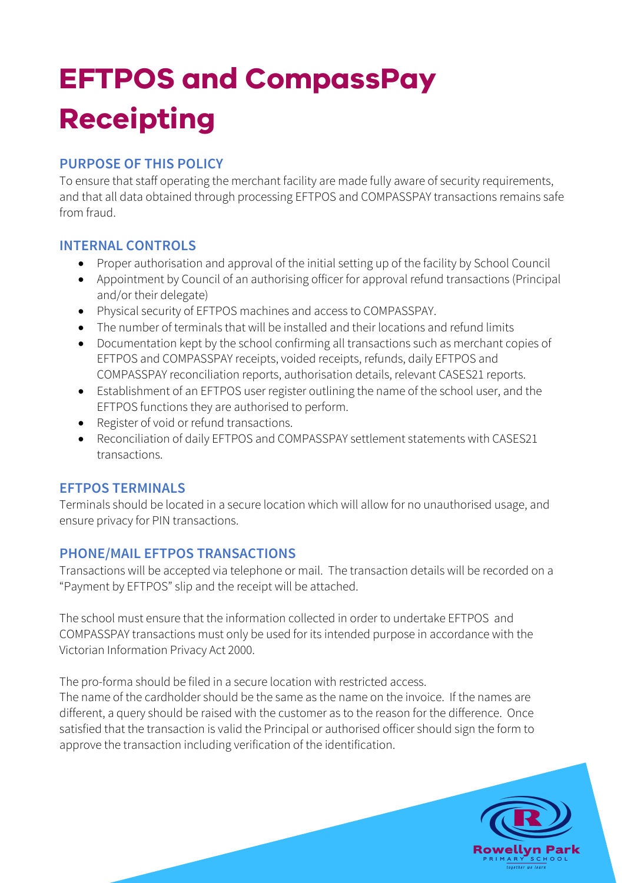# **EFTPOS and CompassPay Receipting**

### **PURPOSE OF THIS POLICY**

To ensure that staff operating the merchant facility are made fully aware of security requirements, and that all data obtained through processing EFTPOS and COMPASSPAY transactions remains safe from fraud.

#### **INTERNAL CONTROLS**

- Proper authorisation and approval of the initial setting up of the facility by School Council
- Appointment by Council of an authorising officer for approval refund transactions (Principal and/or their delegate)
- Physical security of EFTPOS machines and access to COMPASSPAY.
- The number of terminals that will be installed and their locations and refund limits
- Documentation kept by the school confirming all transactions such as merchant copies of EFTPOS and COMPASSPAY receipts, voided receipts, refunds, daily EFTPOS and COMPASSPAY reconciliation reports, authorisation details, relevant CASES21 reports.
- Establishment of an EFTPOS user register outlining the name of the school user, and the EFTPOS functions they are authorised to perform.
- Register of void or refund transactions.
- Reconciliation of daily EFTPOS and COMPASSPAY settlement statements with CASES21 transactions.

### **EFTPOS TERMINALS**

Terminals should be located in a secure location which will allow for no unauthorised usage, and ensure privacy for PIN transactions.

### **PHONE/MAIL EFTPOS TRANSACTIONS**

Transactions will be accepted via telephone or mail. The transaction details will be recorded on a "Payment by EFTPOS" slip and the receipt will be attached.

The school must ensure that the information collected in order to undertake EFTPOS and COMPASSPAY transactions must only be used for its intended purpose in accordance with the Victorian Information Privacy Act 2000.

The pro-forma should be filed in a secure location with restricted access.

The name of the cardholder should be the same as the name on the invoice. If the names are different, a query should be raised with the customer as to the reason for the difference. Once satisfied that the transaction is valid the Principal or authorised officer should sign the form to approve the transaction including verification of the identification.

> Rowellyn Park  $\overline{\phantom{a}}$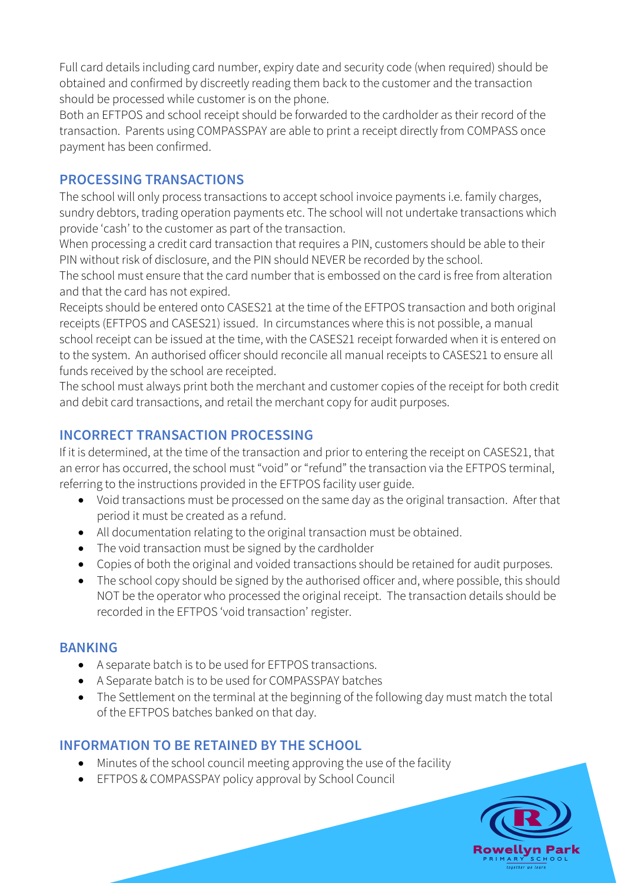Full card details including card number, expiry date and security code (when required) should be obtained and confirmed by discreetly reading them back to the customer and the transaction should be processed while customer is on the phone.

Both an EFTPOS and school receipt should be forwarded to the cardholder as their record of the transaction. Parents using COMPASSPAY are able to print a receipt directly from COMPASS once payment has been confirmed.

#### **PROCESSING TRANSACTIONS**

The school will only process transactions to accept school invoice payments i.e. family charges, sundry debtors, trading operation payments etc. The school will not undertake transactions which provide 'cash' to the customer as part of the transaction.

When processing a credit card transaction that requires a PIN, customers should be able to their PIN without risk of disclosure, and the PIN should NEVER be recorded by the school.

The school must ensure that the card number that is embossed on the card is free from alteration and that the card has not expired.

Receipts should be entered onto CASES21 at the time of the EFTPOS transaction and both original receipts (EFTPOS and CASES21) issued. In circumstances where this is not possible, a manual school receipt can be issued at the time, with the CASES21 receipt forwarded when it is entered on to the system. An authorised officer should reconcile all manual receipts to CASES21 to ensure all funds received by the school are receipted.

The school must always print both the merchant and customer copies of the receipt for both credit and debit card transactions, and retail the merchant copy for audit purposes.

## **INCORRECT TRANSACTION PROCESSING**

If it is determined, at the time of the transaction and prior to entering the receipt on CASES21, that an error has occurred, the school must "void" or "refund" the transaction via the EFTPOS terminal, referring to the instructions provided in the EFTPOS facility user guide.

- Void transactions must be processed on the same day as the original transaction. After that period it must be created as a refund.
- All documentation relating to the original transaction must be obtained.
- The void transaction must be signed by the cardholder
- Copies of both the original and voided transactions should be retained for audit purposes.
- The school copy should be signed by the authorised officer and, where possible, this should NOT be the operator who processed the original receipt. The transaction details should be recorded in the EFTPOS 'void transaction' register.

#### **BANKING**

- A separate batch is to be used for EFTPOS transactions.
- A Separate batch is to be used for COMPASSPAY batches
- The Settlement on the terminal at the beginning of the following day must match the total of the EFTPOS batches banked on that day.

### **INFORMATION TO BE RETAINED BY THE SCHOOL**

- Minutes of the school council meeting approving the use of the facility
- EFTPOS & COMPASSPAY policy approval by School Council